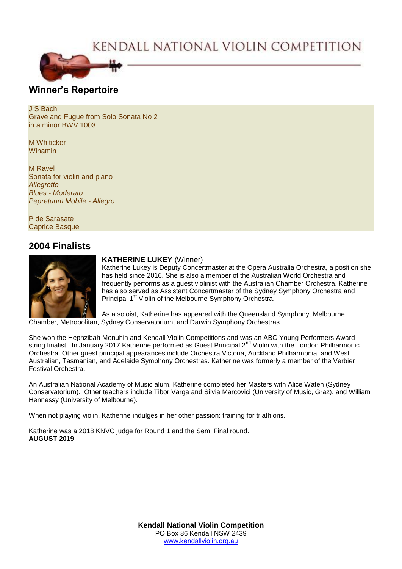# KENDALL NATIONAL VIOLIN COMPETITION



### **Winner's Repertoire**

J S Bach Grave and Fugue from Solo Sonata No 2 in a minor BWV 1003

M Whiticker Winamin

M Ravel Sonata for violin and piano *Allegretto Blues - Moderato Pepretuum Mobile - Allegro*

P de Sarasate Caprice Basque

## **2004 Finalists**



#### **KATHERINE LUKEY** (Winner)

Katherine Lukey is Deputy Concertmaster at the Opera Australia Orchestra, a position she has held since 2016. She is also a member of the Australian World Orchestra and frequently performs as a guest violinist with the Australian Chamber Orchestra. Katherine has also served as Assistant Concertmaster of the Sydney Symphony Orchestra and Principal 1<sup>st</sup> Violin of the Melbourne Symphony Orchestra.

As a soloist, Katherine has appeared with the Queensland Symphony, Melbourne Chamber, Metropolitan, Sydney Conservatorium, and Darwin Symphony Orchestras.

She won the Hephzibah Menuhin and Kendall Violin Competitions and was an ABC Young Performers Award string finalist. In January 2017 Katherine performed as Guest Principal 2<sup>nd</sup> Violin with the London Philharmonic Orchestra. Other guest principal appearances include Orchestra Victoria, Auckland Philharmonia, and West Australian, Tasmanian, and Adelaide Symphony Orchestras. Katherine was formerly a member of the Verbier Festival Orchestra.

An Australian National Academy of Music alum, Katherine completed her Masters with Alice Waten (Sydney Conservatorium). Other teachers include Tibor Varga and Silvia Marcovici (University of Music, Graz), and William Hennessy (University of Melbourne).

When not playing violin, Katherine indulges in her other passion: training for triathlons.

Katherine was a 2018 KNVC judge for Round 1 and the Semi Final round. **AUGUST 2019**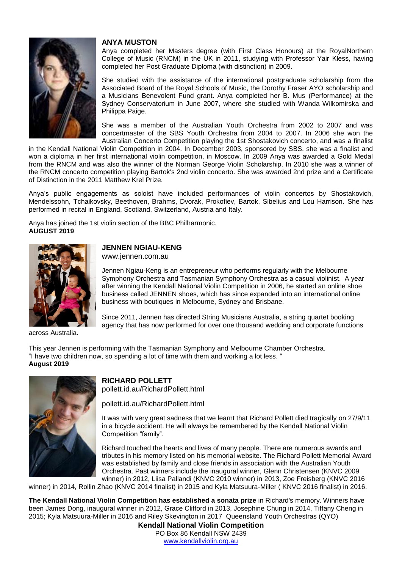

#### **ANYA MUSTON**

Anya completed her Masters degree (with First Class Honours) at the RoyalNorthern College of Music (RNCM) in the UK in 2011, studying with Professor Yair Kless, having completed her Post Graduate Diploma (with distinction) in 2009.

She studied with the assistance of the international postgraduate scholarship from the Associated Board of the Royal Schools of Music, the Dorothy Fraser AYO scholarship and a Musicians Benevolent Fund grant. Anya completed her B. Mus (Performance) at the Sydney Conservatorium in June 2007, where she studied with Wanda Wilkomirska and Philippa Paige.

She was a member of the Australian Youth Orchestra from 2002 to 2007 and was concertmaster of the SBS Youth Orchestra from 2004 to 2007. In 2006 she won the Australian Concerto Competition playing the 1st Shostakovich concerto, and was a finalist

in the Kendall National Violin Competition in 2004. In December 2003, sponsored by SBS, she was a finalist and won a diploma in her first international violin competition, in Moscow. In 2009 Anya was awarded a Gold Medal from the RNCM and was also the winner of the Norman George Violin Scholarship. In 2010 she was a winner of the RNCM concerto competition playing Bartok's 2nd violin concerto. She was awarded 2nd prize and a Certificate of Distinction in the 2011 Matthew Krel Prize.

Anya's public engagements as soloist have included performances of violin concertos by Shostakovich, Mendelssohn, Tchaikovsky, Beethoven, Brahms, Dvorak, Prokofiev, Bartok, Sibelius and Lou Harrison. She has performed in recital in England, Scotland, Switzerland, Austria and Italy.

Anya has joined the 1st violin section of the BBC Philharmonic. **AUGUST 2019**



## **JENNEN NGIAU-KENG**

www.jennen.com.au

Jennen Ngiau-Keng is an entrepreneur who performs regularly with the Melbourne Symphony Orchestra and Tasmanian Symphony Orchestra as a casual violinist. A year after winning the Kendall National Violin Competition in 2006, he started an online shoe business called JENNEN shoes, which has since expanded into an international online business with boutiques in Melbourne, Sydney and Brisbane.

Since 2011, Jennen has directed String Musicians Australia, a string quartet booking agency that has now performed for over one thousand wedding and corporate functions

across Australia.

This year Jennen is performing with the Tasmanian Symphony and Melbourne Chamber Orchestra. "I have two children now, so spending a lot of time with them and working a lot less. " **August 2019**



**RICHARD POLLETT** pollett.id.au/RichardPollett.html

pollett.id.au/RichardPollett.html

It was with very great sadness that we learnt that Richard Pollett died tragically on 27/9/11 in a bicycle accident. He will always be remembered by the Kendall National Violin Competition "family".

Richard touched the hearts and lives of many people. There are numerous awards and tributes in his memory listed on his memorial website. The Richard Pollett Memorial Award was established by family and close friends in association with the Australian Youth Orchestra. Past winners include the inaugural winner, Glenn Christensen (KNVC 2009 winner) in 2012, Liisa Pallandi (KNVC 2010 winner) in 2013, Zoe Freisberg (KNVC 2016

winner) in 2014, Rollin Zhao (KNVC 2014 finalist) in 2015 and Kyla Matsuura-Miller ( KNVC 2016 finalist) in 2016.

**The Kendall National Violin Competition has established a sonata prize** in Richard's memory. Winners have been James Dong, inaugural winner in 2012, Grace Clifford in 2013, Josephine Chung in 2014, Tiffany Cheng in 2015; Kyla Matsuura-Miller in 2016 and Riley Skevington in 2017 Queensland Youth Orchestras (QYO)

**Kendall National Violin Competition** PO Box 86 Kendall NSW 2439 [www.kendallviolin.org.au](http://www.kendallviolin.org.au/)